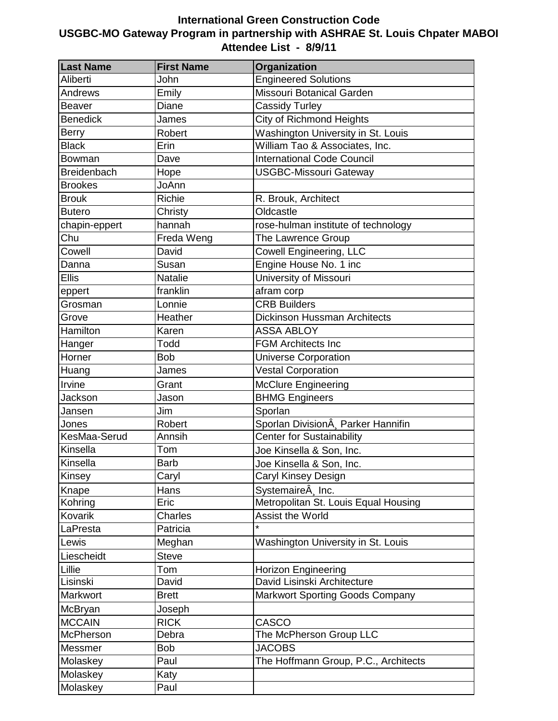## **International Green Construction Code USGBC-MO Gateway Program in partnership with ASHRAE St. Louis Chpater MABOI Attendee List - 8/9/11**

| <b>Last Name</b>   | <b>First Name</b> | <b>Organization</b>                    |
|--------------------|-------------------|----------------------------------------|
| Aliberti           | John              | <b>Engineered Solutions</b>            |
| Andrews            | Emily             | Missouri Botanical Garden              |
| <b>Beaver</b>      | Diane             | <b>Cassidy Turley</b>                  |
| <b>Benedick</b>    | James             | <b>City of Richmond Heights</b>        |
| <b>Berry</b>       | Robert            | Washington University in St. Louis     |
| <b>Black</b>       | Erin              | William Tao & Associates, Inc.         |
| Bowman             | Dave              | <b>International Code Council</b>      |
| <b>Breidenbach</b> | Hope              | <b>USGBC-Missouri Gateway</b>          |
| <b>Brookes</b>     | JoAnn             |                                        |
| <b>Brouk</b>       | <b>Richie</b>     | R. Brouk, Architect                    |
| <b>Butero</b>      | Christy           | Oldcastle                              |
| chapin-eppert      | hannah            | rose-hulman institute of technology    |
| Chu                | Freda Weng        | The Lawrence Group                     |
| Cowell             | David             | <b>Cowell Engineering, LLC</b>         |
| Danna              | Susan             | Engine House No. 1 inc                 |
| <b>Ellis</b>       | <b>Natalie</b>    | <b>University of Missouri</b>          |
| eppert             | franklin          | afram corp                             |
| Grosman            | Lonnie            | <b>CRB Builders</b>                    |
| Grove              | Heather           | <b>Dickinson Hussman Architects</b>    |
| Hamilton           | Karen             | <b>ASSA ABLOY</b>                      |
| Hanger             | Todd              | <b>FGM Architects Inc</b>              |
| Horner             | <b>Bob</b>        | <b>Universe Corporation</b>            |
| Huang              | James             | <b>Vestal Corporation</b>              |
| Irvine             | Grant             | <b>McClure Engineering</b>             |
| Jackson            | Jason             | <b>BHMG Engineers</b>                  |
| Jansen             | Jim               | Sporlan                                |
| Jones              | Robert            | Sporlan DivisionÂ, Parker Hannifin     |
| KesMaa-Serud       | Annsih            | <b>Center for Sustainability</b>       |
| Kinsella           | Tom               | Joe Kinsella & Son, Inc.               |
| Kinsella           | <b>Barb</b>       | Joe Kinsella & Son, Inc.               |
| Kinsey             | Caryl             | Caryl Kinsey Design                    |
| Knape              | Hans              | Systemaire <sub>A</sub> Inc.           |
| Kohring            | Eric              | Metropolitan St. Louis Equal Housing   |
| <b>Kovarik</b>     | Charles           | Assist the World                       |
| LaPresta           | Patricia          |                                        |
| Lewis              | Meghan            | Washington University in St. Louis     |
| Liescheidt         | <b>Steve</b>      |                                        |
| Lillie             | Tom               | <b>Horizon Engineering</b>             |
| Lisinski           | David             | David Lisinski Architecture            |
| Markwort           | <b>Brett</b>      | <b>Markwort Sporting Goods Company</b> |
| McBryan            | Joseph            |                                        |
| <b>MCCAIN</b>      | <b>RICK</b>       | <b>CASCO</b>                           |
| <b>McPherson</b>   | Debra             | The McPherson Group LLC                |
| Messmer            | <b>Bob</b>        | <b>JACOBS</b>                          |
| Molaskey           | Paul              | The Hoffmann Group, P.C., Architects   |
| Molaskey           | Katy              |                                        |
| Molaskey           | Paul              |                                        |